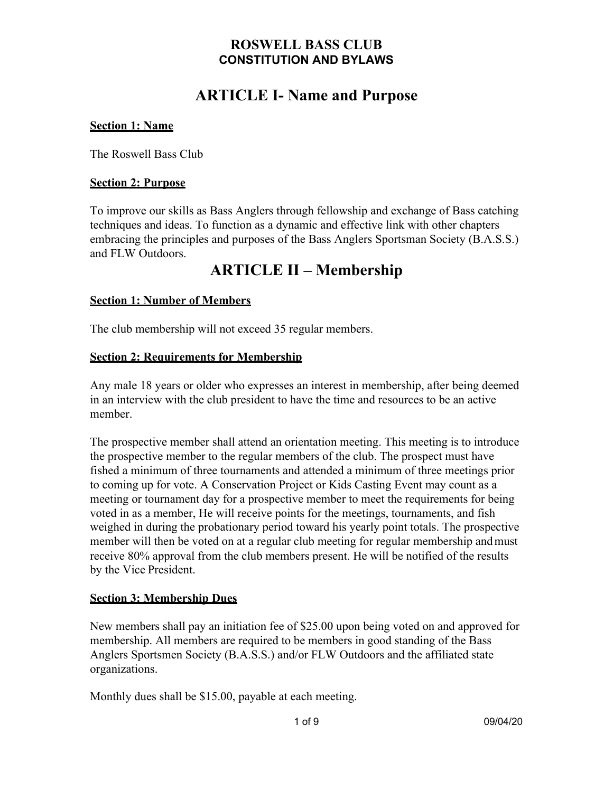# **ARTICLE I- Name and Purpose**

#### **Section 1: Name**

The Roswell Bass Club

#### **Section 2: Purpose**

To improve our skills as Bass Anglers through fellowship and exchange of Bass catching techniques and ideas. To function as a dynamic and effective link with other chapters embracing the principles and purposes of the Bass Anglers Sportsman Society (B.A.S.S.) and FLW Outdoors.

# **ARTICLE II – Membership**

#### **Section 1: Number of Members**

The club membership will not exceed 35 regular members.

#### **Section 2: Requirements for Membership**

Any male 18 years or older who expresses an interest in membership, after being deemed in an interview with the club president to have the time and resources to be an active member.

The prospective member shall attend an orientation meeting. This meeting is to introduce the prospective member to the regular members of the club. The prospect must have fished a minimum of three tournaments and attended a minimum of three meetings prior to coming up for vote. A Conservation Project or Kids Casting Event may count as a meeting or tournament day for a prospective member to meet the requirements for being voted in as a member, He will receive points for the meetings, tournaments, and fish weighed in during the probationary period toward his yearly point totals. The prospective member will then be voted on at a regular club meeting for regular membership andmust receive 80% approval from the club members present. He will be notified of the results by the Vice President.

#### **Section 3: Membership Dues**

New members shall pay an initiation fee of \$25.00 upon being voted on and approved for membership. All members are required to be members in good standing of the Bass Anglers Sportsmen Society (B.A.S.S.) and/or FLW Outdoors and the affiliated state organizations.

Monthly dues shall be \$15.00, payable at each meeting.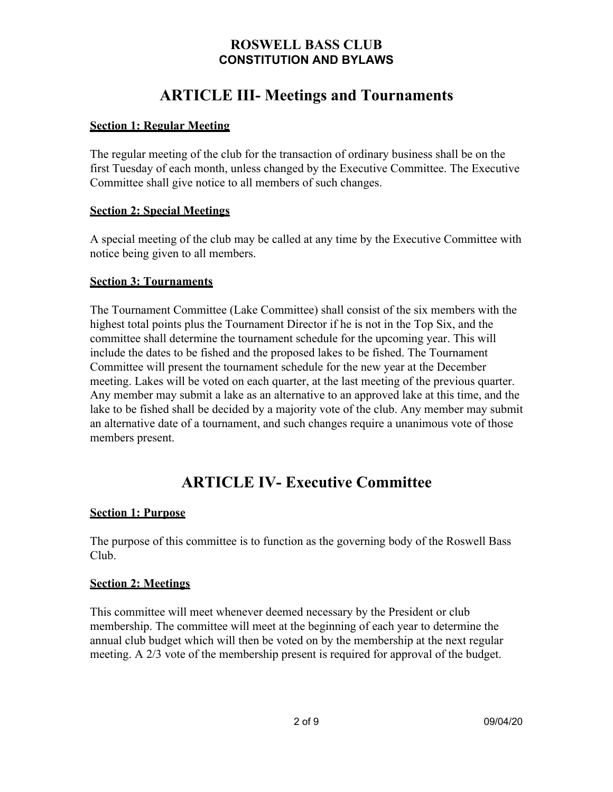# **ARTICLE III- Meetings and Tournaments**

#### **Section 1: Regular Meeting**

The regular meeting of the club for the transaction of ordinary business shall be on the first Tuesday of each month, unless changed by the Executive Committee. The Executive Committee shall give notice to all members of such changes.

#### **Section 2: Special Meetings**

A special meeting of the club may be called at any time by the Executive Committee with notice being given to all members.

#### **Section 3: Tournaments**

The Tournament Committee (Lake Committee) shall consist of the six members with the highest total points plus the Tournament Director if he is not in the Top Six, and the committee shall determine the tournament schedule for the upcoming year. This will include the dates to be fished and the proposed lakes to be fished. The Tournament Committee will present the tournament schedule for the new year at the December meeting. Lakes will be voted on each quarter, at the last meeting of the previous quarter. Any member may submit a lake as an alternative to an approved lake at this time, and the lake to be fished shall be decided by a majority vote of the club. Any member may submit an alternative date of a tournament, and such changes require a unanimous vote of those members present.

# **ARTICLE IV- Executive Committee**

#### **Section 1: Purpose**

The purpose of this committee is to function as the governing body of the Roswell Bass Club.

#### **Section 2: Meetings**

This committee will meet whenever deemed necessary by the President or club membership. The committee will meet at the beginning of each year to determine the annual club budget which will then be voted on by the membership at the next regular meeting. A 2/3 vote of the membership present is required for approval of the budget.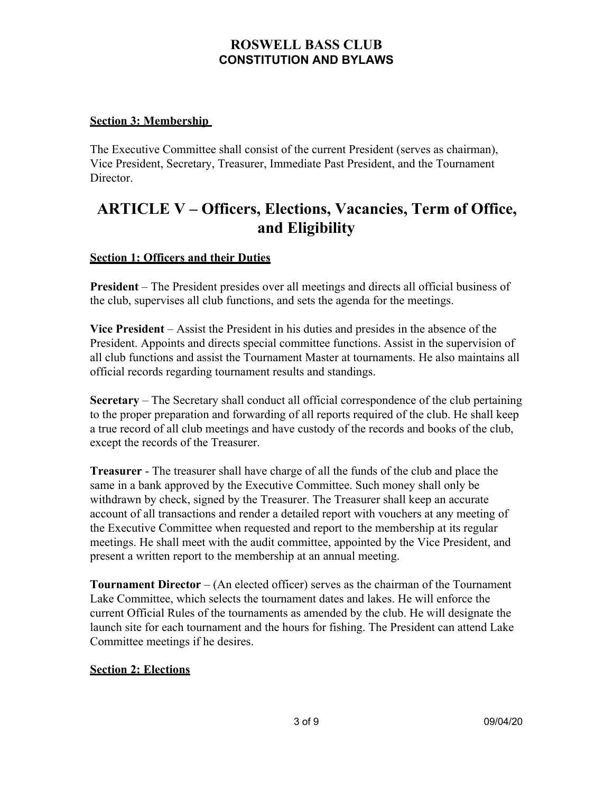#### **Section 3: Membership**

The Executive Committee shall consist of the current President (serves as chairman), Vice President, Secretary, Treasurer, Immediate Past President, and the Tournament Director.

# **ARTICLE V – Officers, Elections, Vacancies, Term of Office, and Eligibility**

#### **Section 1: Officers and their Duties**

**President** – The President presides over all meetings and directs all official business of the club, supervises all club functions, and sets the agenda for the meetings.

**Vice President** – Assist the President in his duties and presides in the absence of the President. Appoints and directs special committee functions. Assist in the supervision of all club functions and assist the Tournament Master at tournaments. He also maintains all official records regarding tournament results and standings.

**Secretary** – The Secretary shall conduct all official correspondence of the club pertaining to the proper preparation and forwarding of all reports required of the club. He shall keep a true record of all club meetings and have custody of the records and books of the club, except the records of the Treasurer.

**Treasurer** - The treasurer shall have charge of all the funds of the club and place the same in a bank approved by the Executive Committee. Such money shall only be withdrawn by check, signed by the Treasurer. The Treasurer shall keep an accurate account of all transactions and render a detailed report with vouchers at any meeting of the Executive Committee when requested and report to the membership at its regular meetings. He shall meet with the audit committee, appointed by the Vice President, and present a written report to the membership at an annual meeting.

**Tournament Director** – (An elected officer) serves as the chairman of the Tournament Lake Committee, which selects the tournament dates and lakes. He will enforce the current Official Rules of the tournaments as amended by the club. He will designate the launch site for each tournament and the hours for fishing. The President can attend Lake Committee meetings if he desires.

#### **Section 2: Elections**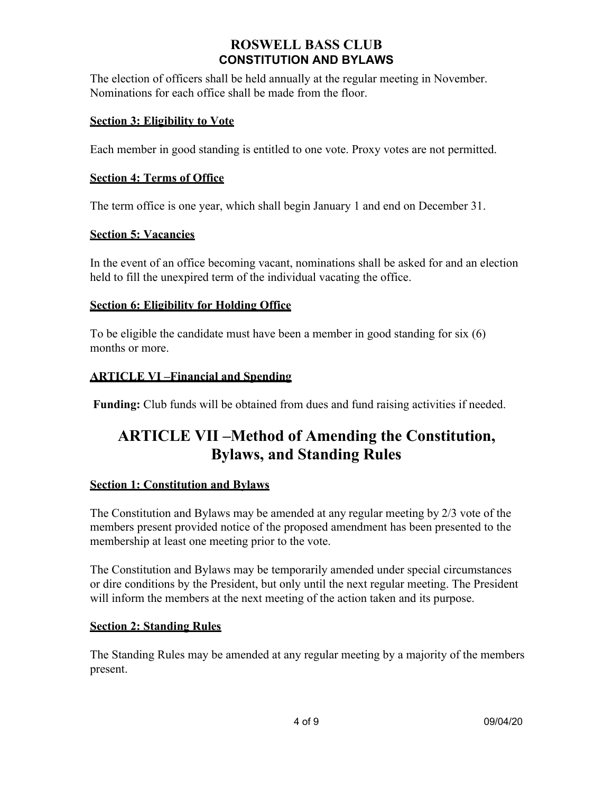The election of officers shall be held annually at the regular meeting in November. Nominations for each office shall be made from the floor.

#### **Section 3: Eligibility to Vote**

Each member in good standing is entitled to one vote. Proxy votes are not permitted.

#### **Section 4: Terms of Office**

The term office is one year, which shall begin January 1 and end on December 31.

#### **Section 5: Vacancies**

In the event of an office becoming vacant, nominations shall be asked for and an election held to fill the unexpired term of the individual vacating the office.

#### **Section 6: Eligibility for Holding Office**

To be eligible the candidate must have been a member in good standing for six (6) months or more.

#### **ARTICLE VI –Financial and Spending**

**Funding:** Club funds will be obtained from dues and fund raising activities if needed.

# **ARTICLE VII –Method of Amending the Constitution, Bylaws, and Standing Rules**

#### **Section 1: Constitution and Bylaws**

The Constitution and Bylaws may be amended at any regular meeting by 2/3 vote of the members present provided notice of the proposed amendment has been presented to the membership at least one meeting prior to the vote.

The Constitution and Bylaws may be temporarily amended under special circumstances or dire conditions by the President, but only until the next regular meeting. The President will inform the members at the next meeting of the action taken and its purpose.

#### **Section 2: Standing Rules**

The Standing Rules may be amended at any regular meeting by a majority of the members present.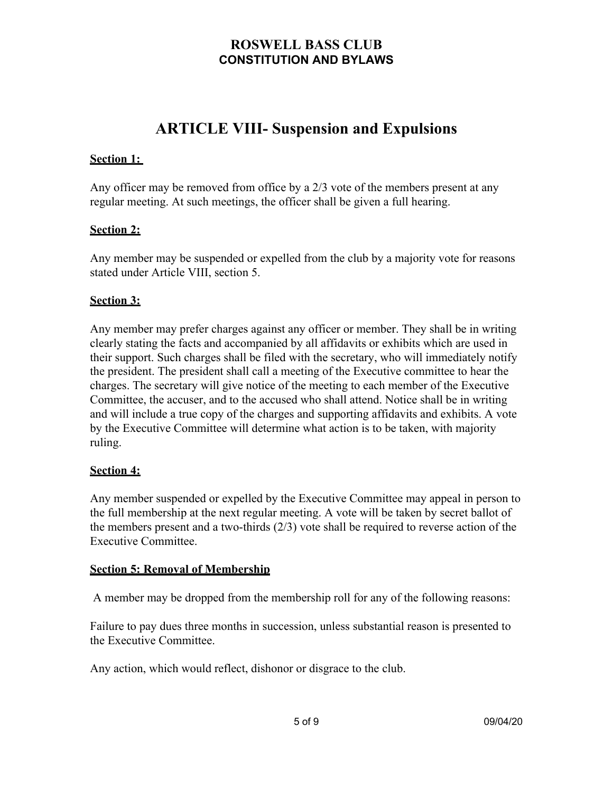# **ARTICLE VIII- Suspension and Expulsions**

#### **Section 1:**

Any officer may be removed from office by a 2/3 vote of the members present at any regular meeting. At such meetings, the officer shall be given a full hearing.

#### **Section 2:**

Any member may be suspended or expelled from the club by a majority vote for reasons stated under Article VIII, section 5.

#### **Section 3:**

Any member may prefer charges against any officer or member. They shall be in writing clearly stating the facts and accompanied by all affidavits or exhibits which are used in their support. Such charges shall be filed with the secretary, who will immediately notify the president. The president shall call a meeting of the Executive committee to hear the charges. The secretary will give notice of the meeting to each member of the Executive Committee, the accuser, and to the accused who shall attend. Notice shall be in writing and will include a true copy of the charges and supporting affidavits and exhibits. A vote by the Executive Committee will determine what action is to be taken, with majority ruling.

#### **Section 4:**

Any member suspended or expelled by the Executive Committee may appeal in person to the full membership at the next regular meeting. A vote will be taken by secret ballot of the members present and a two-thirds (2/3) vote shall be required to reverse action of the Executive Committee.

#### **Section 5: Removal of Membership**

A member may be dropped from the membership roll for any of the following reasons:

Failure to pay dues three months in succession, unless substantial reason is presented to the Executive Committee.

Any action, which would reflect, dishonor or disgrace to the club.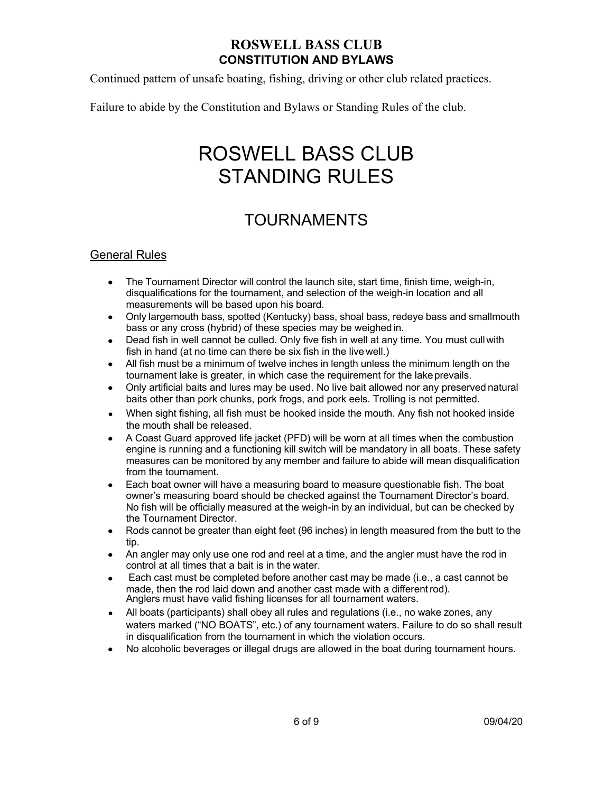Continued pattern of unsafe boating, fishing, driving or other club related practices.

Failure to abide by the Constitution and Bylaws or Standing Rules of the club.

# ROSWELL BASS CLUB STANDING RULES

# TOURNAMENTS

#### General Rules

- The Tournament Director will control the launch site, start time, finish time, weigh-in, disqualifications for the tournament, and selection of the weigh-in location and all measurements will be based upon his board.
- Only largemouth bass, spotted (Kentucky) bass, shoal bass, redeye bass and smallmouth bass or any cross (hybrid) of these species may be weighed in.
- Dead fish in well cannot be culled. Only five fish in well at any time. You must cull with fish in hand (at no time can there be six fish in the live well.)
- All fish must be a minimum of twelve inches in length unless the minimum length on the tournament lake is greater, in which case the requirement for the lakeprevails.
- Only artificial baits and lures may be used. No live bait allowed nor any preserved natural baits other than pork chunks, pork frogs, and pork eels. Trolling is not permitted.
- When sight fishing, all fish must be hooked inside the mouth. Any fish not hooked inside the mouth shall be released.
- A Coast Guard approved life jacket (PFD) will be worn at all times when the combustion engine is running and a functioning kill switch will be mandatory in all boats. These safety measures can be monitored by any member and failure to abide will mean disqualification from the tournament.
- Each boat owner will have a measuring board to measure questionable fish. The boat owner's measuring board should be checked against the Tournament Director's board. No fish will be officially measured at the weigh-in by an individual, but can be checked by the Tournament Director.
- Rods cannot be greater than eight feet (96 inches) in length measured from the butt to the tip.
- An angler may only use one rod and reel at a time, and the angler must have the rod in control at all times that a bait is in the water.
- Each cast must be completed before another cast may be made (i.e., a cast cannot be made, then the rod laid down and another cast made with a different rod). Anglers must have valid fishing licenses for all tournament waters.
- All boats (participants) shall obey all rules and regulations (i.e., no wake zones, any waters marked ("NO BOATS", etc.) of any tournament waters. Failure to do so shall result in disqualification from the tournament in which the violation occurs.
- No alcoholic beverages or illegal drugs are allowed in the boat during tournament hours. $\bullet$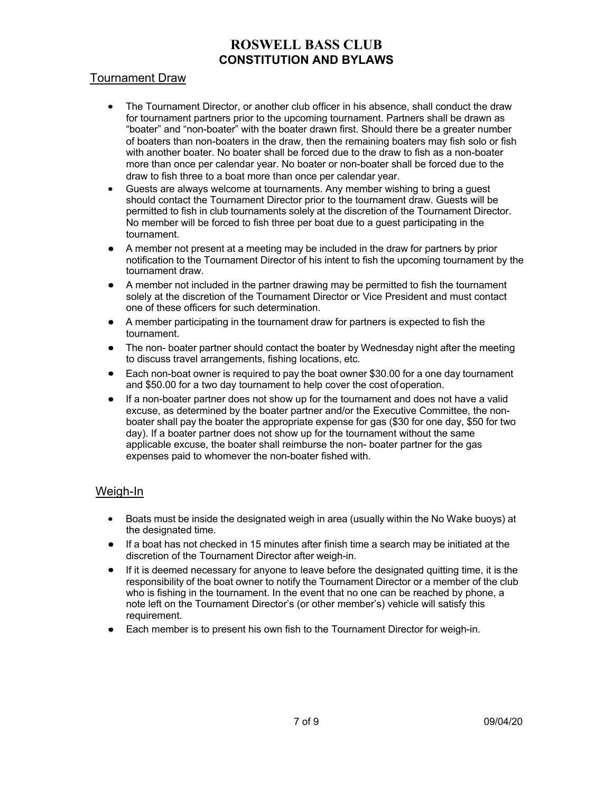#### Tournament Draw

- The Tournament Director, or another club officer in his absence, shall conduct the draw  $\bullet$ for tournament partners prior to the upcoming tournament. Partners shall be drawn as "boater" and "non-boater" with the boater drawn first. Should there be a greater number of boaters than non-boaters in the draw, then the remaining boaters may fish solo or fish with another boater. No boater shall be forced due to the draw to fish as a non-boater more than once per calendar year. No boater or non-boater shall be forced due to the draw to fish three to a boat more than once per calendar year.
- Guests are always welcome at tournaments. Any member wishing to bring a guest  $\bullet$ should contact the Tournament Director prior to the tournament draw. Guests will be permitted to fish in club tournaments solely at the discretion of the Tournament Director. No member will be forced to fish three per boat due to a guest participating in the tournament.
- A member not present at a meeting may be included in the draw for partners by prior notification to the Tournament Director of his intent to fish the upcoming tournament by the tournament draw.
- A member not included in the partner drawing may be permitted to fish the tournament solely at the discretion of the Tournament Director or Vice President and must contact one of these officers for such determination.
- A member participating in the tournament draw for partners is expected to fish the tournament.
- The non- boater partner should contact the boater by Wednesday night after the meeting to discuss travel arrangements, fishing locations, etc.
- Each non-boat owner is required to pay the boat owner \$30.00 for a one day tournament and \$50.00 for a two day tournament to help cover the cost ofoperation.
- If a non-boater partner does not show up for the tournament and does not have a valid excuse, as determined by the boater partner and/or the Executive Committee, the nonboater shall pay the boater the appropriate expense for gas (\$30 for one day, \$50 for two day). If a boater partner does not show up for the tournament without the same applicable excuse, the boater shall reimburse the non- boater partner for the gas expenses paid to whomever the non-boater fished with.

#### Weigh-In

- Boats must be inside the designated weigh in area (usually within the No Wake buoys) at the designated time.
- If a boat has not checked in 15 minutes after finish time a search may be initiated at the discretion of the Tournament Director after weigh-in.
- If it is deemed necessary for anyone to leave before the designated quitting time, it is the responsibility of the boat owner to notify the Tournament Director or a member of the club who is fishing in the tournament. In the event that no one can be reached by phone, a note left on the Tournament Director's (or other member's) vehicle will satisfy this requirement.
- Each member is to present his own fish to the Tournament Director for weigh-in.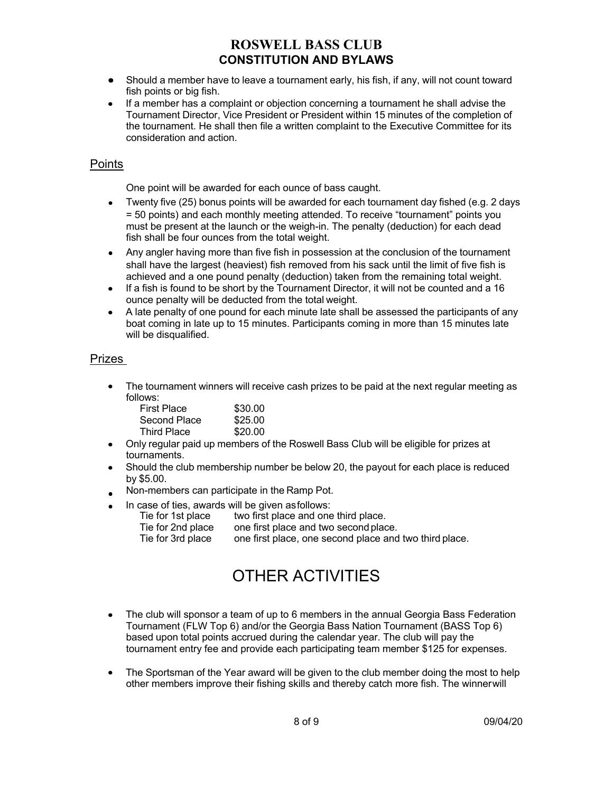- Should a member have to leave a tournament early, his fish, if any, will not count toward fish points or big fish.
- If a member has a complaint or objection concerning a tournament he shall advise the Tournament Director, Vice President or President within 15 minutes of the completion of the tournament. He shall then file a written complaint to the Executive Committee for its consideration and action.

#### **Points**

One point will be awarded for each ounce of bass caught.

- Twenty five (25) bonus points will be awarded for each tournament day fished (e.g. 2 days = 50 points) and each monthly meeting attended. To receive "tournament" points you must be present at the launch or the weigh-in. The penalty (deduction) for each dead fish shall be four ounces from the total weight.
- Any angler having more than five fish in possession at the conclusion of the tournament shall have the largest (heaviest) fish removed from his sack until the limit of five fish is achieved and a one pound penalty (deduction) taken from the remaining total weight.
- $\bullet$  If a fish is found to be short by the Tournament Director, it will not be counted and a 16 ounce penalty will be deducted from the total weight.
- A late penalty of one pound for each minute late shall be assessed the participants of any  $\bullet$ boat coming in late up to 15 minutes. Participants coming in more than 15 minutes late will be disqualified.

#### Prizes

 $\bullet$  The tournament winners will receive cash prizes to be paid at the next regular meeting as follows:

| <b>First Place</b> | \$30.00 |
|--------------------|---------|
| Second Place       | \$25.00 |
| <b>Third Place</b> | \$20.00 |

- Only regular paid up members of the Roswell Bass Club will be eligible for prizes at tournaments.
- Should the club membership number be below 20, the payout for each place is reduced by \$5.00.
- Non-members can participate in the Ramp Pot.
- In case of ties, awards will be given asfollows:
	- Tie for 1st place two first place and one third place. Tie for 2nd place one first place and two second place. Tie for 3rd place one first place, one second place and two third place.

# OTHER ACTIVITIES

- $\bullet$  The club will sponsor a team of up to 6 members in the annual Georgia Bass Federation Tournament (FLW Top 6) and/or the Georgia Bass Nation Tournament (BASS Top 6) based upon total points accrued during the calendar year. The club will pay the tournament entry fee and provide each participating team member \$125 for expenses.
- The Sportsman of the Year award will be given to the club member doing the most to help  $\bullet$ other members improve their fishing skills and thereby catch more fish. The winnerwill